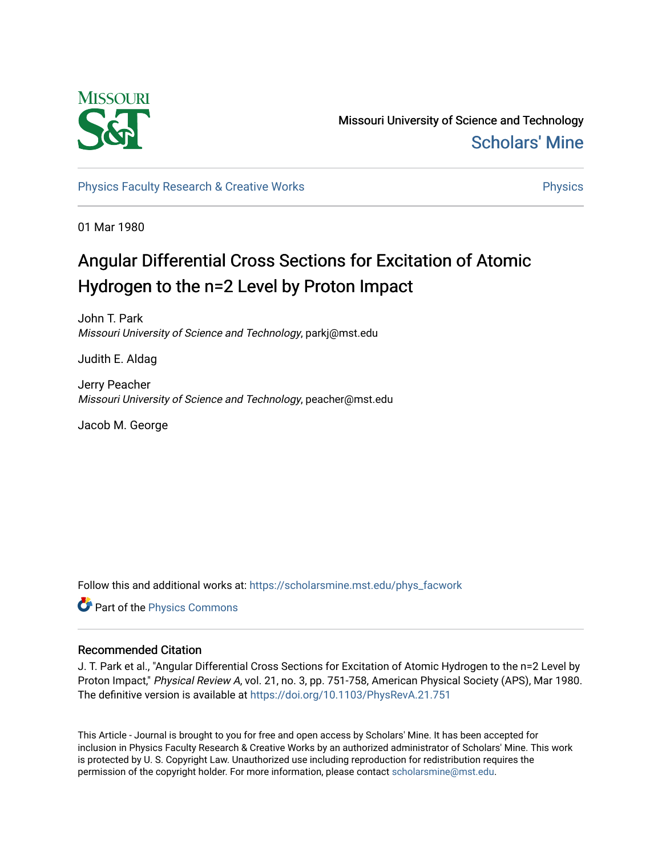

Missouri University of Science and Technology [Scholars' Mine](https://scholarsmine.mst.edu/) 

[Physics Faculty Research & Creative Works](https://scholarsmine.mst.edu/phys_facwork) **Physics** [Physics](https://scholarsmine.mst.edu/phys) Physics

01 Mar 1980

# Angular Differential Cross Sections for Excitation of Atomic Hydrogen to the  $n=2$  Level by Proton Impact

John T. Park Missouri University of Science and Technology, parkj@mst.edu

Judith E. Aldag

Jerry Peacher Missouri University of Science and Technology, peacher@mst.edu

Jacob M. George

Follow this and additional works at: [https://scholarsmine.mst.edu/phys\\_facwork](https://scholarsmine.mst.edu/phys_facwork?utm_source=scholarsmine.mst.edu%2Fphys_facwork%2F1363&utm_medium=PDF&utm_campaign=PDFCoverPages) 

Part of the [Physics Commons](http://network.bepress.com/hgg/discipline/193?utm_source=scholarsmine.mst.edu%2Fphys_facwork%2F1363&utm_medium=PDF&utm_campaign=PDFCoverPages)

# Recommended Citation

J. T. Park et al., "Angular Differential Cross Sections for Excitation of Atomic Hydrogen to the n=2 Level by Proton Impact," Physical Review A, vol. 21, no. 3, pp. 751-758, American Physical Society (APS), Mar 1980. The definitive version is available at <https://doi.org/10.1103/PhysRevA.21.751>

This Article - Journal is brought to you for free and open access by Scholars' Mine. It has been accepted for inclusion in Physics Faculty Research & Creative Works by an authorized administrator of Scholars' Mine. This work is protected by U. S. Copyright Law. Unauthorized use including reproduction for redistribution requires the permission of the copyright holder. For more information, please contact [scholarsmine@mst.edu](mailto:scholarsmine@mst.edu).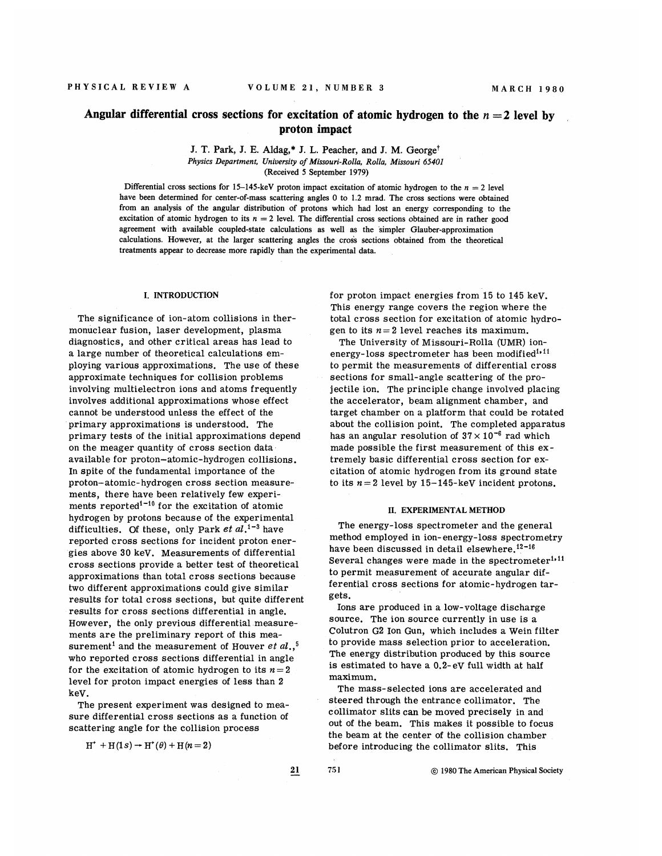## Angular differential cross sections for excitation of atomic hydrogen to the  $n = 2$  level by proton impact

J. T. Park, J. E. Aldag,\* J. L. Peacher, and J. M. George<sup>†</sup> Physics Department, Uniuersity of Missouri-Rolla, Rolla, Missouri 65401 (Received 5 September 1979)

Differential cross sections for 15-145-keV proton impact excitation of atomic hydrogen to the  $n = 2$  level have been determined for center-of-mass scattering angles 0 to 1.2 mrad. The cross sections were obtained from an analysis of the angular distribution of protons which had lost an energy corresponding to the excitation of atomic hydrogen to its  $n = 2$  level. The differential cross sections obtained are in rather good agreement with available coupled-state calculations as well as the simpler Glauber-approximation calculations. However, at the larger scattering angles the cross sections obtained from the theoretical treatments appear to decrease more rapidly than the experimental data.

#### I. INTRODUCTION

The significance of ion-atom collisions in thermonuclear fusion, laser development, plasma diagnostics, and other critical areas has lead to a large number of theoretical calculations employing various approximations. The use of these approximate techniques for collision problems involving multielectron ions and atoms frequently involves additional approximations whose effect cannot be understood unless the effect of the primary approximations is understood. The primary tests of the initial approximations depend on the meager quantity of cross section data available for proton-atomic-hydrogen collisions. In spite of the fundamental importance of the proton —atomic- hydrogen cross section measurements, there have been relatively few experiments, there have been relatively few experi-<br>ments reported<sup>1-10</sup> for the excitation of atomic hydrogen by protons because of the experimental difficulties. Of these, only Park et  $al.^{1-3}$  have reported cross sections for incident proton energies above 30 keV. Measurements of differential cross sections provide a better test of theoretical approximations than total cross sections because two different approximations could give similar results for total cross sections, but quite different, results for cross sections differential in angle. However, the only previous differential measurements are the preliminary report of this measurement<sup>1</sup> and the measurement of Houver et al.,  $^5$ who reported cross sections differential in angle for the excitation of atomic hydrogen to its  $n = 2$ level for proton impact energies of less than 2 keg.

The present experiment was designed to measure differential cross sections as a function of scattering angle for the collision process

 $H^+ + H(1s) \rightarrow H^+(\theta) + H(n=2)$ 

for proton impact energies from 15 to 145 keV. This energy range covers the region where the total cross section for excitation of atomic hydrogen to its  $n=2$  level reaches its maximum.

The University of Missouri-Rolls (UMR) ionenergy-loss spectrometer has been modified<sup>1,11</sup> to permit the measurements of differential cross sections for small-angle scattering of the projectile ion. The principle change involved placing the accelerator, beam alignment chamber, and target chamber on a platform that could be rotated about the collision point. The completed apparatus has an angular resolution of  $37 \times 10^{-6}$  rad which made possible the first measurement of this extremely basic differential cross section for excitation of atomic hydrogen from its ground state to its  $n = 2$  level by 15-145-keV incident protons.

#### II. EXPERIMENTAL METHOD

The energy-loss spectrometer and the general method employed in ion-energy-loss spectrometry have been discussed in detail elsewhere. $12-16$ Several changes were made in the spectrometer<sup>1,11</sup> to permit measurement of accurate angular differential cross sections for atomic-hydrogen targets.

Ions are produced in a low-voltage discharge source. The ion source currently in use is a Colutron G2 ion Qun, which includes a Mein filter to provide mass selection prior to acceleration. The energy distribution produced by this source is estimated to have a  $0.2$ -eV full width at half maximum.

The mass-selected ions are accelerated and steered through the entrance collimator. The collimator slits can be moved precisely in and out of the beam. This makes it possible to focus the beam at the center of the collision chamber before introducing the collimator slits. This

21 751 1980 The American Physical Society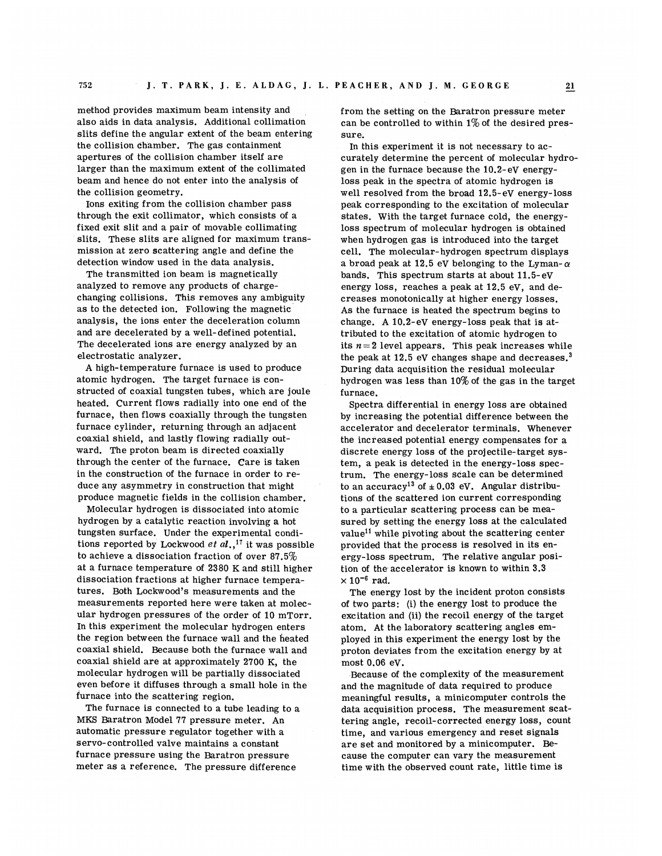method provides maximum beam intensity and also aids in data analysis. Additional collimation slits define the angular extent of the beam entering the collision chamber. The gas containment apertures of the collision chamber itself are larger than the maximum extent of the collimated beam and hence do not enter into the analysis of the collision geometry.

Ions exiting from the collision chamber pass through the exit collimator, which consists of a fixed exit slit and a pair of movable collimating slits. These slits are aligned for maximum transmission at zero scattering angle and define the detection window used in the data analysis.

The transmitted ion beam is magnetically analyzed to remove any products of chargechanging collisions. This removes any ambiguity as to the detected ion. Following the magnetic analysis, the ions enter the deceleration column and are decelerated by a well-defined potential. The decelerated ions are energy analyzed by an electrostatic analyzer.

A high-temperature furnace is used to produce atomic hydrogen. The target furnace is constructed of coaxial tungsten tubes, mhich are joule heated. Current flows radially into one end of the furnace, then flows coaxially through the tungsten furnace cylinder, returning through an adjacent coaxial shield, and lastly flowing radially outward. The proton beam is directed coaxially through the center of the furnace. Care is taken in the construction of the furnace in order to reduce any asymmetry in construction that might produce magnetic fields in the collision chamber.

Molecular hydrogen is dissociated into atomic hydrogen by a catalytic reaction involving a hot tungsten surface. Under the experimental conditungsten surface. Under the experimental conditions reported by Lockwood  $et al.,<sup>17</sup>$  it was possible to achieve a dissociation fraction of over 87.5% at a furnace temperature of 2380 K and still higher dissociation fractions at higher furnace temperatures. Both Lockwood's measurements and the measurements reported here were taken at molecular hydrogen pressures of the order of 10 mTorr. In this experiment the molecular hydrogen enters the region between the furnace wall and the heated coaxial shield. Because both the furnace wall and coaxial shield are at approximately 2700 K, the molecular hydrogen mill be partially dissociated even before it diffuses through a small hole in the furnace into the scattering region.

The furnace is connected to a tube leading to a MES Baratron Model 77 pressure meter. An automatic pressure regulator together with a servo-controlled valve maintains a constant furnace pressure using the Baratron pressure meter as a reference. The pressure difference

from the setting on the Baratron pressure meter can be controlled to within  $1\%$  of the desired pressure.

In this experiment it is not necessary to accurately determine the percent of molecular hydrogen in the furnace because the  $10.2$ -eV energyloss peak in the spectra of atomic hydrogen is well resolved from the broad  $12.5$ -eV energy-loss peak corresponding to the excitation of molecular states. With the target furnace cold, the energyloss spectrum of molecular hydrogen is obtained when hydrogen gas is introduced into the target cell. The molecular- hydrogen spectrum displays a broad peak at 12.5 eV belonging to the Lyman- $\alpha$ bands. This spectrum starts at about 11.5- eV energy loss, reaches a peak at  $12.5$  eV, and decreases monotonieally at higher energy losses. As the furnace is heated the spectrum begins to change. A 10.2-eV energy-loss peak that is attributed to the excitation of atomic hydrogen to its  $n=2$  level appears. This peak increases while the peak at  $12.5$  eV changes shape and decreases.<sup>3</sup> During data acquisition the residual molecular hydrogen was less than 10%of the gas in the target furnace.

Spectra differential in energy loss are obtained by increasing the potential difference between the accelerator and decelerator terminals. Whenever the increased potential energy compensates for a discrete energy loss of the projectile-target system, a peak is detected in the energy-loss spectrum. The energy-loss scale ean be determined to an accuracy<sup>13</sup> of  $\pm$  0.03 eV. Angular distributions of the scattered ion current corresponding to a particular scattering process can be measured by setting the energy loss at the calculated value<sup>11</sup> while pivoting about the scattering center provided that the process is resolved in its energy-loss spectrum. The relative angular position of the-accelerator is known to within 3.3  $\times$  10<sup>-6</sup> rad.

The energy lost by the incident proton consists of two parts: (i) the energy lost to produce the excitation and (ii) the recoil energy of the target atom. At the laboratory scattering angles employed in this experiment the energy lost by the proton deviates from the excitation energy by at most  $0.06$  eV.

Because of the complexity of the measurement and the magnitude of data required to produce meaningful results, a minicomputer controls the data acquisition process. The measurement scattering angle, recoil-corrected energy loss, count time, and various emergency and reset signals are set and monitored by a minicomputer. Because the computer can vary the measurement time with the observed count rate, little time is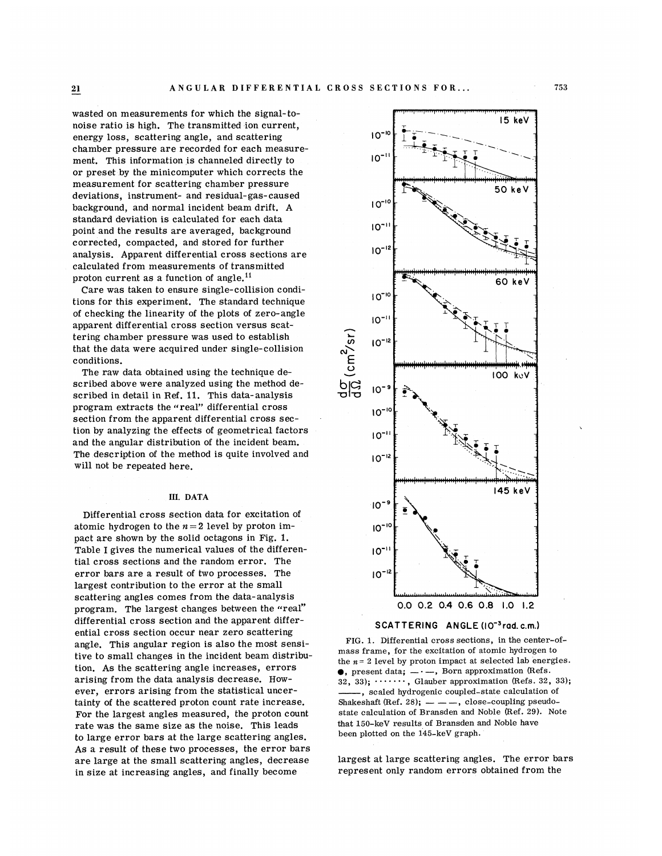wasted on measurements for which the signal-tonoise ratio is high. The transmitted ion current, energy loss, scattering angle, and scattering chamber pressure are recorded for each measurement. This information is channeled directly to or preset by the minicomputer which corrects the measurement for scattering chamber pressure deviations, instrument- and residual-gas-caused background, and normal incident beam drift. A standard deviation is calculated for each data point and the results are averaged, background corrected, compacted, and stored for further analysis. Apparent differential cross sections are calculated from measurements of transmitted proton current as a function of angle.<sup>11</sup>

Care was taken to ensure single-collision conditions for this experiment. The standard technique of checking the linearity of the plots of zero-angle apparent differential cross section versus scattering chamber pressure was used to establish that the data were acquired under single-collision conditions.

The raw data obtained using the technique described above were analyzed using the method described in detail in Ref. 1l. This data-analysis program extracts the "real" differential cross section from the apparent differential cross section by analyzing the effects of geometrical factors and the angular distribution of the incident beam. The description of the method is quite involved and will not be repeated here.

Differential cross section data for excitation of atomic hydrogen to the  $n=2$  level by proton impact are shown by the solid octagons in Fig. l. Table I gives the numerical values of the differential cross sections and the random error. The error bars are a result of two processes. The largest contribution to the error at the small scattering angles comes from the data-analysis program. The largest changes between the "real" differential cross section and the apparent differential cross section occur near zero scattering angle. This angular region is also the most sensitive to small changes in the incident beam distribution. As the scattering angle increases, errors arising from the data analysis decrease. However, errors arising from the statistical uncertainty of the scattered proton count rate increase. For the largest angles measured, the proton count rate was the same size as the noise. This leads to large error bars at the large scattering angles. As a result of these two processes, the error bars are large at the small scattering angles, decrease in size at increasing angles, and finally become





FIG. 1. Differential cross sections, in the center-ofmass frame, for the excitation of atomic hydrogen to the  $n = 2$  level by proton impact at selected lab energies.  $\bullet$ , present data;  $-\cdot$ , Born approximation (Refs. , present data;  $-\cdot$ , born approximation (Refs. 32, 33);<br>32, 33);  $\cdots$ , Glauber approximation (Refs. 32, 33); , scaled hydrogenic coupled-state calculation of Shakeshaft (Ref. 28);  $\frac{1}{2}$  -  $\frac{1}{2}$ , close-coupling pseudostate calculation of Bransden and Noble (Ref. 29). Note that 150-keV results of Bransden and Noble have been plotted on the 145-keV graph.

largest at large scattering angles. The error bars represent only random errors obtained from the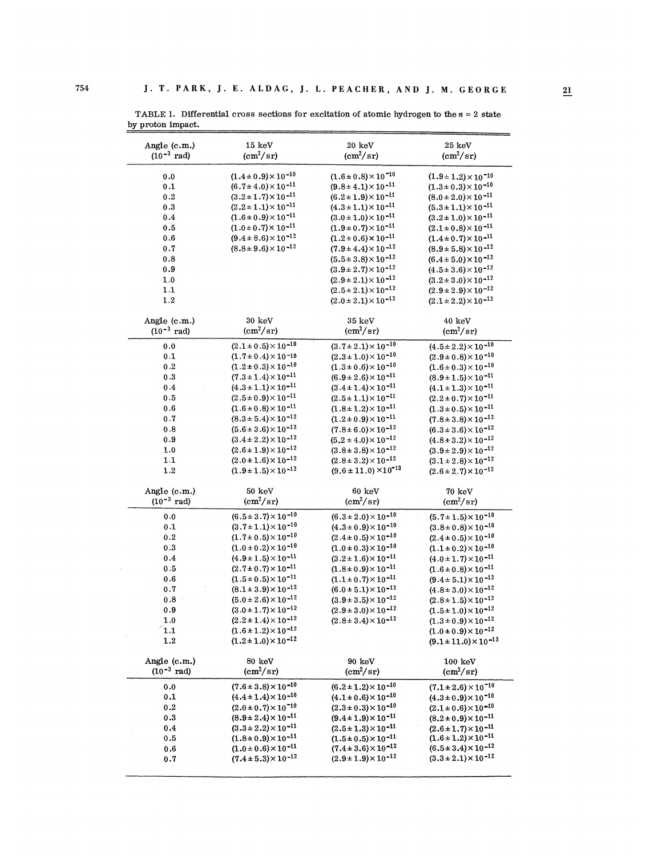| Angle (c.m.)            | $15\;{\rm keV}$                 | 20 keV                           | $25 \; \mathrm{keV}$             |
|-------------------------|---------------------------------|----------------------------------|----------------------------------|
| $(10^{-3} \text{ rad})$ | $\text{(cm}^2/\text{sr})$       | $\text{(cm}^2/\text{sr})$        | $\rm (cm^2/sr)$                  |
|                         |                                 |                                  |                                  |
| 0.0                     | $(1.4 \pm 0.9) \times 10^{-10}$ | $(1.6 \pm 0.8) \times 10^{-10}$  | $(1.9 \pm 1.2) \times 10^{-10}$  |
| 0.1                     | $(6.7 \pm 4.0) \times 10^{-11}$ | $(9.8 \pm 4.1) \times 10^{-11}$  | $(1.3 \pm 0.3) \times 10^{-10}$  |
|                         |                                 |                                  |                                  |
| 0.2                     | $(3.2 \pm 1.7) \times 10^{-11}$ | $(6.2 \pm 1.9) \times 10^{-11}$  | $(8.0 \pm 2.0) \times 10^{-11}$  |
| 0.3                     | $(2.2 \pm 1.1) \times 10^{-11}$ | $(4.3 \pm 1.1) \times 10^{-11}$  | $(5.3 \pm 1.1) \times 10^{-11}$  |
| 0.4                     | $(1.6 \pm 0.9) \times 10^{-11}$ | $(3.0 \pm 1.0) \times 10^{-11}$  | $(3.2 \pm 1.0) \times 10^{-11}$  |
| 0.5                     | $(1.0 \pm 0.7) \times 10^{-11}$ | $(1.9 \pm 0.7) \times 10^{-11}$  | $(2.1 \pm 0.8) \times 10^{-11}$  |
| 0.6                     | $(9.4 \pm 8.6) \times 10^{-12}$ | $(1.2 \pm 0.6) \times 10^{-11}$  | $(1.4 \pm 0.7) \times 10^{-11}$  |
| 0.7                     | $(8.8 \pm 9.6) \times 10^{-12}$ | $(7.9 \pm 4.4) \times 10^{-12}$  | $(8.9 \pm 5.8) \times 10^{-12}$  |
| 0.8                     |                                 | $(5.5 \pm 3.8) \times 10^{-12}$  | $(6.4 \pm 5.0) \times 10^{-12}$  |
| 0.9                     |                                 | $(3.9 \pm 2.7) \times 10^{-12}$  | $(4.5 \pm 3.6) \times 10^{-12}$  |
| 1.0                     |                                 | $(2.9 \pm 2.1) \times 10^{-12}$  | $(3.2 \pm 3.0) \times 10^{-12}$  |
| 1.1                     |                                 | $(2.5 \pm 2.1) \times 10^{-12}$  | $(2.9 \pm 2.9) \times 10^{-12}$  |
| 1.2                     |                                 | $(2.0 \pm 2.1) \times 10^{-12}$  | $(2.1 \pm 2.2) \times 10^{-12}$  |
|                         |                                 |                                  |                                  |
|                         |                                 |                                  |                                  |
| Angle $(c.m.)$          | 30 keV                          | $35 \text{ keV}$                 | $40 \; \mathrm{keV}$             |
| $(10^{-3} \text{ rad})$ | $\rm (cm^2/sr)$                 | $\rm (cm^2/sr)$                  | $\text{(cm}^2/\text{sr})$        |
| 0.0                     | $(2.1 \pm 0.5) \times 10^{-10}$ | $(3.7 \pm 2.1) \times 10^{-10}$  | $(4.5 \pm 2.2) \times 10^{-10}$  |
| 0.1                     | $(1.7 \pm 0.4) \times 10^{-10}$ | $(2.3 \pm 1.0) \times 10^{-10}$  | $(2.9 \pm 0.8) \times 10^{-10}$  |
| 0.2                     | $(1.2 \pm 0.3) \times 10^{-10}$ | $(1.3 \pm 0.6) \times 10^{-10}$  | $(1.6 \pm 0.3) \times 10^{-10}$  |
| 0.3                     | $(7.3 \pm 1.4) \times 10^{-11}$ | $(6.9 \pm 2.6) \times 10^{-11}$  | $(8.9 \pm 1.5) \times 10^{-11}$  |
|                         | $(4.3 \pm 1.1) \times 10^{-11}$ | $(3.4 \pm 1.4) \times 10^{-11}$  |                                  |
| 0.4                     |                                 |                                  | $(4.1 \pm 1.3) \times 10^{-11}$  |
| 0.5                     | $(2.5 \pm 0.9) \times 10^{-11}$ | $(2.5 \pm 1.1) \times 10^{-11}$  | $(2.2 \pm 0.7) \times 10^{-11}$  |
| 0.6                     | $(1.6 \pm 0.8) \times 10^{-11}$ | $(1.8 \pm 1.2) \times 10^{-11}$  | $(1.3 \pm 0.5) \times 10^{-11}$  |
| 0.7                     | $(8.3 \pm 5.4) \times 10^{-12}$ | $(1.2 \pm 0.9) \times 10^{-11}$  | $(7.8 \pm 3.8) \times 10^{-12}$  |
| 0.8                     | $(5.6 \pm 3.6) \times 10^{-12}$ | $(7.8 \pm 6.0) \times 10^{-12}$  | $(6.3 \pm 3.6) \times 10^{-12}$  |
| 0.9                     | $(3.4 \pm 2.2) \times 10^{-12}$ | $(5.2 \pm 4.0) \times 10^{-12}$  | $(4.8 \pm 3.2) \times 10^{-12}$  |
| 1.0                     | $(2.6 \pm 1.9) \times 10^{-12}$ | $(3.8 \pm 3.8) \times 10^{-12}$  | $(3.9 \pm 2.9) \times 10^{-12}$  |
| 1.1                     | $(2.0 \pm 1.6) \times 10^{-12}$ | $(2.8 \pm 3.2) \times 10^{-12}$  | $(3.1 \pm 2.8) \times 10^{-12}$  |
| 1.2                     | $(1.9 \pm 1.5) \times 10^{-12}$ | $(9.6 \pm 11.0) \times 10^{-13}$ | $(2.6 \pm 2.7) \times 10^{-12}$  |
|                         |                                 |                                  |                                  |
| Angle $(c.m.)$          | $50 \; \mathrm{keV}$            | $60\,\,\mathrm{keV}$             | 70 keV                           |
| $(10^{-3} \text{ rad})$ | $\rm (cm^2/sr)$                 | $\rm (cm^2/sr)$                  | $(cm^2/sr)$                      |
|                         |                                 |                                  |                                  |
| 0.0                     | $(6.5 \pm 3.7) \times 10^{-10}$ | $(6.3 \pm 2.0) \times 10^{-10}$  | $(5.7 \pm 1.5) \times 10^{-10}$  |
| 0.1                     | $(3.7 \pm 1.1) \times 10^{-10}$ | $(4.3 \pm 0.9) \times 10^{-10}$  | $(3.8 \pm 0.8) \times 10^{-10}$  |
| 0.2                     | $(1.7 \pm 0.5) \times 10^{-10}$ | $(2.4 \pm 0.5) \times 10^{-10}$  | $(2.4 \pm 0.5) \times 10^{-10}$  |
| 0.3                     | $(1.0 \pm 0.2) \times 10^{-10}$ | $(1.0 \pm 0.3) \times 10^{-10}$  | $(1.1 \pm 0.2) \times 10^{-10}$  |
| 0.4                     | $(4.9 \pm 1.5) \times 10^{-11}$ | $(3.2 \pm 1.6) \times 10^{-11}$  | $(4.0 \pm 1.7) \times 10^{-11}$  |
| 0.5                     | $(2.7 \pm 0.7) \times 10^{-11}$ | $(1.8 \pm 0.9) \times 10^{-11}$  | $(1.6 \pm 0.8) \times 10^{-11}$  |
| 0.6                     | $(1.5 \pm 0.5) \times 10^{-11}$ | $(1.1 \pm 0.7) \times 10^{-11}$  | $(9.4 \pm 5.1) \times 10^{-12}$  |
| 0.7                     | $(8.1 \pm 3.9) \times 10^{-12}$ | $(6.0 \pm 5.1) \times 10^{-12}$  | $(4.8 \pm 3.0) \times 10^{-12}$  |
| 0.8 <sub>1</sub>        | $(5.0 \pm 2.6) \times 10^{-12}$ | $(3.9 \pm 3.5) \times 10^{-12}$  | $(2.8 \pm 1.5) \times 10^{-12}$  |
| 0.9                     | $(3.0 \pm 1.7) \times 10^{-12}$ | $(2.9 \pm 3.0) \times 10^{-12}$  | $(1.5 \pm 1.0) \times 10^{-12}$  |
|                         |                                 |                                  |                                  |
| 1.0                     | $(2.2 \pm 1.4) \times 10^{-12}$ | $(2.8 \pm 3.4) \times 10^{-12}$  | $(1.3 \pm 0.9) \times 10^{-12}$  |
| 1.1                     | $(1.6 \pm 1.2) \times 10^{-12}$ |                                  | $(1.0 \pm 0.9) \times 10^{-12}$  |
| 1.2                     | $(1.2 \pm 1.0) \times 10^{-12}$ |                                  | $(9.1 \pm 11.0) \times 10^{-13}$ |
|                         |                                 |                                  |                                  |
| Angle (c.m.)            | 80 keV                          | 90 keV                           | $100 \text{ keV}$                |
| $(10^{-3} \text{ rad})$ | $(cm^2/sr)$                     | $\rm (cm^2/sr)$                  | $\rm (cm^2/sr)$                  |
| 0.0                     | $(7.6 \pm 3.8) \times 10^{-10}$ | $(6.2 \pm 1.2) \times 10^{-10}$  | $(7.1 \pm 2.6) \times 10^{-10}$  |
| 0.1                     | $(4.4 \pm 1.4) \times 10^{-10}$ | $(4.1 \pm 0.6) \times 10^{-10}$  | $(4.3 \pm 0.9) \times 10^{-10}$  |
|                         |                                 |                                  |                                  |
| 0.2                     | $(2.0 \pm 0.7) \times 10^{-10}$ | $(2.3 \pm 0.3) \times 10^{-10}$  | $(2.1 \pm 0.6) \times 10^{-10}$  |
| 0.3                     | $(8.9 \pm 2.4) \times 10^{-11}$ | $(9.4 \pm 1.9) \times 10^{-11}$  | $(8.2 \pm 0.9) \times 10^{-11}$  |
| 0.4                     | $(3.3 \pm 2.2) \times 10^{-11}$ | $(2.5 \pm 1.3) \times 10^{-11}$  | $(2.6 \pm 1.7) \times 10^{-11}$  |
| 0.5                     | $(1.8 \pm 0.9) \times 10^{-11}$ | $(1.5 \pm 0.5) \times 10^{-11}$  | $(1.6 \pm 1.2) \times 10^{-11}$  |
| 0.6                     | $(1.0 \pm 0.6) \times 10^{-11}$ | $(7.4 \pm 3.6) \times 10^{-12}$  | $(6.5 \pm 3.4) \times 10^{-12}$  |
| 0.7                     | $(7.4 \pm 5.3) \times 10^{-12}$ | $(2.9 \pm 1.9) \times 10^{-12}$  | $(3.3 \pm 2.1) \times 10^{-12}$  |

TABLE I. Differential cross sections for excitation of atomic hydrogen to the  $n = 2$  state by proton impact.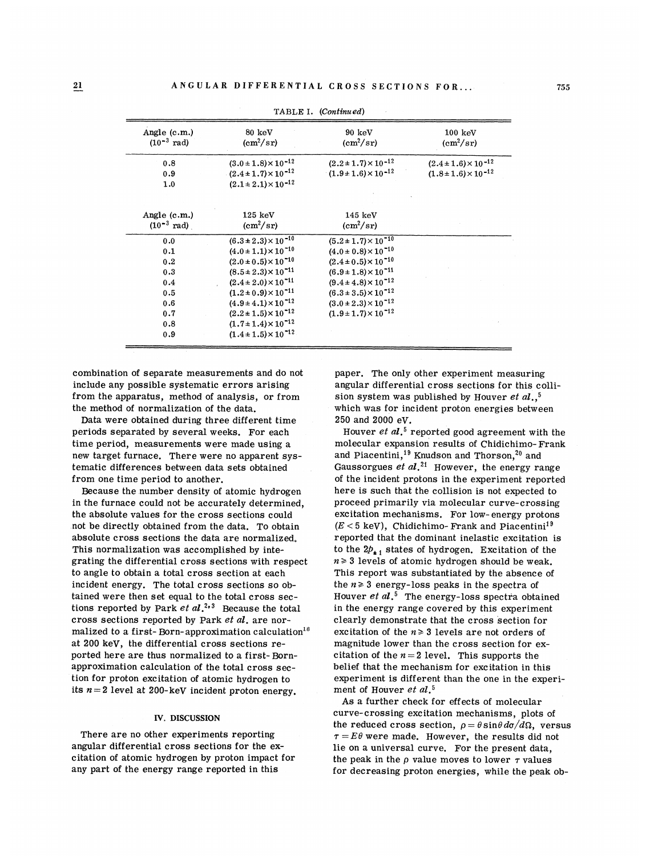| Angle (c.m.)<br>$(10^{-3} \text{ rad})$   | 80 keV<br>$\text{(cm}^2/\text{sr})$                                | 90 keV<br>$\rm (cm^2/sr)$                                          | $100 \text{ keV}$<br>$\rm (cm^2/sr)$                               |
|-------------------------------------------|--------------------------------------------------------------------|--------------------------------------------------------------------|--------------------------------------------------------------------|
| 0.8<br>0.9                                | $(3.0 \pm 1.8) \times 10^{-12}$<br>$(2.4 \pm 1.7) \times 10^{-12}$ | $(2.2 \pm 1.7) \times 10^{-12}$<br>$(1.9 \pm 1.6) \times 10^{-12}$ | $(2.4 \pm 1.6) \times 10^{-12}$<br>$(1.8 \pm 1.6) \times 10^{-12}$ |
| 1.0                                       | $(2.1 \pm 2.1) \times 10^{-12}$                                    |                                                                    |                                                                    |
|                                           |                                                                    |                                                                    |                                                                    |
| Angle $(c.m.)$<br>$(10^{-3} \text{ rad})$ | 125~keV<br>$\rm (cm^2/sr)$                                         | $145 \; \mathrm{keV}$<br>$\rm (cm^2/sr)$                           |                                                                    |
| 0.0                                       | $(6.3 \pm 2.3) \times 10^{-10}$                                    | $(5.2 \pm 1.7) \times 10^{-10}$                                    |                                                                    |
| 0.1                                       | $(4.0 \pm 1.1) \times 10^{-10}$                                    | $(4.0 \pm 0.8) \times 10^{-10}$                                    |                                                                    |
| 0.2                                       | $(2.0 \pm 0.5) \times 10^{-10}$                                    | $(2.4 \pm 0.5) \times 10^{-10}$                                    |                                                                    |
| 0.3                                       | $(8.5 \pm 2.3) \times 10^{-11}$                                    | $(6.9 \pm 1.8) \times 10^{-11}$                                    |                                                                    |
| 0.4                                       | $(2.4 \pm 2.0) \times 10^{-11}$                                    | $(9.4 \pm 4.8) \times 10^{-12}$                                    |                                                                    |
| 0.5                                       | $(1.2 \pm 0.9) \times 10^{-11}$                                    | $(6.3 \pm 3.5) \times 10^{-12}$                                    |                                                                    |
| 0.6                                       | $(4.9 \pm 4.1) \times 10^{-12}$                                    | $(3.0 \pm 2.3) \times 10^{-12}$                                    |                                                                    |
| 0.7                                       | $(2.2 \pm 1.5) \times 10^{-12}$                                    | $(1.9 \pm 1.7) \times 10^{-12}$                                    |                                                                    |
| 0.8                                       | $(1.7 \pm 1.4) \times 10^{-12}$                                    |                                                                    |                                                                    |
| 0.9                                       | $(1.4 \pm 1.5) \times 10^{-12}$                                    |                                                                    |                                                                    |

TABLE I. (Continu ed)

combination of separate measurements and do not include any possible systematic errors arising from the apparatus, method of analysis, or from the method of normalization of the data.

Data were obtained during three different time periods separated by several weeks. For each time period, measurements were made using a new target furnace. There were no apparent systematic differences between data sets obtained from one time period to another.

Because the number density of atomic hydrogen in the furnace could not be accurately determined, the absolute values for the cross sections could not be directly obtained from the data. To obtain absolute cross sections the data are normalized. This normalization was accomplished by integrating the differential cross sections with respect to angle to obtain a total cross section at each incident energy. The total cross sections so obtained were then set equal to the total cross sections reported by Park  $et \ al.^{2,3}$  Because the total cross sections reported by Park et al. are normalized to a first-Born-approximation calculation<sup>18</sup> at 200 keV, the differential cross sections reported here are thus normalized to a first- Bornapproximation calculation of the total cross section for proton excitation of atomic hydrogen to its  $n = 2$  level at 200-keV incident proton energy.

### IV. DISCUSSION

There are no other experiments reporting angular differential cross sections for the excitation of atomic hydrogen by proton impact for any part of the energy range reported in this

paper. The only other experiment measuring angular differential cross sections for this collision system was published by Houver  ${et}$   ${al}$  ,  ${^5}$ which was for incident proton energies between 250 and 2000 eV.

**Houver** *et al***.<sup>5</sup> reported good agreement with the** molecular expansion results of Chidichimo-Frank and Piacentini,<sup>19</sup> Knudson and Thorson,<sup>20</sup> and Gaussorgues et  $al.^{21}$  However, the energy range of the incident protons in the experiment reported here is such that the collision is not expected to proceed primarily via molecular curve-crossing excitation mechanisms. For low-energy protons  $(E < 5 \text{ keV})$ , Chidichimo- Frank and Piacentini<sup>19</sup> reported that the dominant inelastic excitation is to the  $2p_{+1}$  states of hydrogen. Excitation of the  $n \geq 3$  levels of atomic hydrogen should be weak. This report was substantiated by the absence of the  $n \geq 3$  energy-loss peaks in the spectra of Houver et  $al$ <sup>5</sup>. The energy-loss spectra obtained in the energy range covered by this experiment clearly demonstrate that the cross section for excitation of the  $n \geq 3$  levels are not orders of magnitude lower than the cross section for excitation of the  $n = 2$  level. This supports the belief that the mechanism for excitation in this experiment is different than the one in the experiment of Houver  $et$   $al.^5$ 

As a further check for effects of molecular curve-crossing excitation mechanisms, plots of the reduced cross section,  $\rho = \theta \sin \theta \, d\sigma / d\Omega$ , versus  $\tau = E\theta$  were made. However, the results did not lie on a universal curve. For the present data, the peak in the  $\rho$  value moves to lower  $\tau$  values for decreasing proton energies, while the peak ob-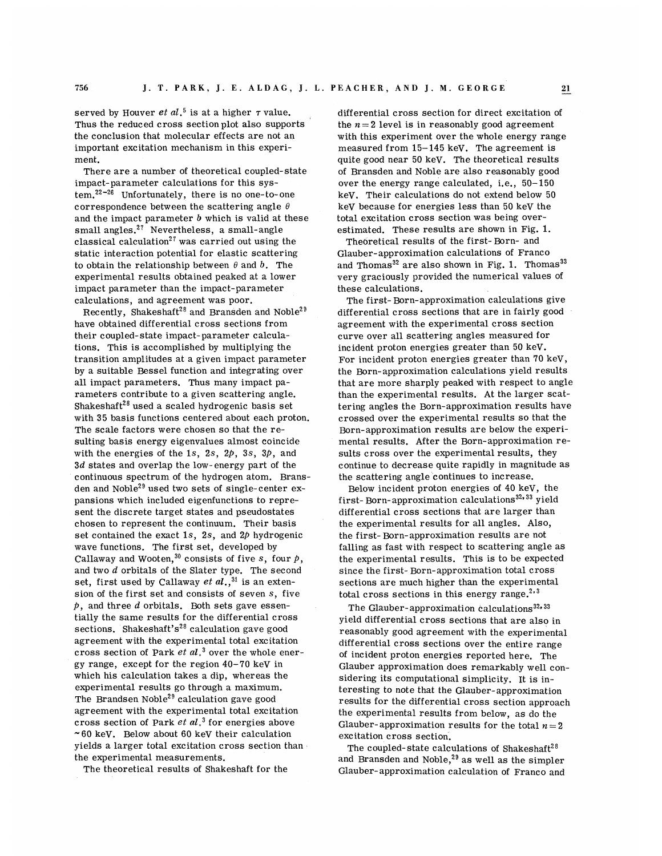served by Houver  ${et}$   $al.^5$  is at a higher  $\tau$  value. Thus the reduced cross section plot also supports the conclusion that molecular effects are not an important excitation mechanism in this experiment.

There are a number of theoretical coupled-state impact-parameter calculations for this sys $tem. <sup>22-26</sup>$  Unfortunately, there is no one-to-one correspondence between the scattering angle  $\theta$ and the impact parameter  $b$  which is valid at these small angles. $27$  Nevertheless, a small-angle classical calculation<sup>27</sup> was carried out using the static interaction potential for elastic scattering to obtain the relationship between  $\theta$  and  $\dot{\theta}$ . The experimental results obtained peaked at a lower impact parameter than the impact-parameter calculations, and agreement was poor.

Recently, Shakeshaft<sup>28</sup> and Bransden and Noble<sup>29</sup> have obtained differential cross sections from their coupled-state impact- parameter calculations. This is accomplished by multiplying the transition amplitudes at a given impact parameter by a suitable Bessel function and integrating over all impact parameters. Thus many impact parameters contribute to a given scattering angle. Shakeshaft<sup>28</sup> used a scaled hydrogenic basis set with 35 basis functions centered about each proton. The scale factors were chosen so that the resulting basis energy eigenvalues almost coincide with the energies of the 1s, 2s,  $2p$ , 3s,  $3p$ , and  $3d$  states and overlap the low-energy part of the continuous spectrum of the hydrogen atom. Bransden and Noble<sup>29</sup> used two sets of single-center expansions which included eigenfunctions to represent the discrete target states and pseudostates chosen to represent the continuum. Their basis set contained the exact 1s, 2s, and  $2p$  hydrogenic wave functions. The first set, developed by Callaway and Wooten,<sup>30</sup> consists of five s, four  $p$ , and two  $d$  orbitals of the Slater type. The second set, first used by Callaway  ${\it et\ al.},^{31}$  is an extension of the first set and consists of seven s, five  $p$ , and three  $d$  orbitals. Both sets gave essentially the same results for the differential cross sections. Shakeshaft's<sup>28</sup> calculation gave good agreement with the experimental total excitation cross section of Park  $et al.^3$  over the whole energy range, except for the region 40-70 keV in which his calculation takes a dip, whereas the experimental results go through a maximum. The Brandsen Noble<sup>29</sup> calculation gave good agreement with the experimental total excitation cross section of Park  $et \ al.^3$  for energies above  $\sim$  60 keV. Below about 60 keV their calculation yields a larger total excitation cross section than the experimental measurements.

The theoretical results of Shakeshaft for the

differential cross section for direct excitation of the  $n = 2$  level is in reasonably good agreement with this experiment over the whole energy range measured from 15—145 keV. The agreement is quite good near 50 keV. The theoretical results of Bransden and Noble are also reasonably good over the energy range calculated, i.e., 50-150 keV. Their calculations do not extend below 50 keV because for energies less than 50 keV the total excitation cross section was being overestimated. These results are shown in Fig. 1.

Theoretical results of the first- Born- and Glauber- approximation calculations of Franco and Thomas<sup>32</sup> are also shown in Fig. 1. Thomas<sup>33</sup> very graciously provided the numerical values of these calculations.

The first- Born-approximation calculations give differential cross sections that are in fairly good agreement with the experimental cross section curve over all scattering angles measured for incident proton energies greater than 50 keV. For incident proton energies greater than 70 keV, the Born- approximation calculations yield results that are more sharply peaked with respect to angle than the experimental results. At the larger scattering angles the Born-approximation results have crossed over the experimental results so that the Born-approximation results are below the experimental results. After the Born-approximation results cross over the experimental results, they continue to decrease quite rapidly in magnitude as the scattering angle continues to increase.

Below incident proton energies of 40 keV, the first-Born-approximation calculations<sup>32,33</sup> yield differential cross sections that are larger than the experimental results for all angles. Also, the first- Born- approximation results are not falling as fast with respect to scattering angle as the experimental results. This is to be expected since the first- Born-approximation total cross sections are much higher than the experimental total cross sections in this energy range.<sup>2,3</sup>

The Glauber-approximation calculations<sup>32,33</sup> yield differential cross sections that are also in reasonably good agreement with the experimental differential cross sections over the entire range of incident proton energies reported here. The Qlauber approximation does remarkably well considering its computational simplicity. It is interesting to note that the Qlauber-approximation results for the differential cross section approach the experimental results from below, as do the Glauber-approximation results for the total  $n=2$ excitation cross section.

The coupled-state calculations of Shakeshaft<sup>28</sup> and Bransden and Noble, $^{29}$  as well as the simpler Qlauber-approximation calculation of Franco and

756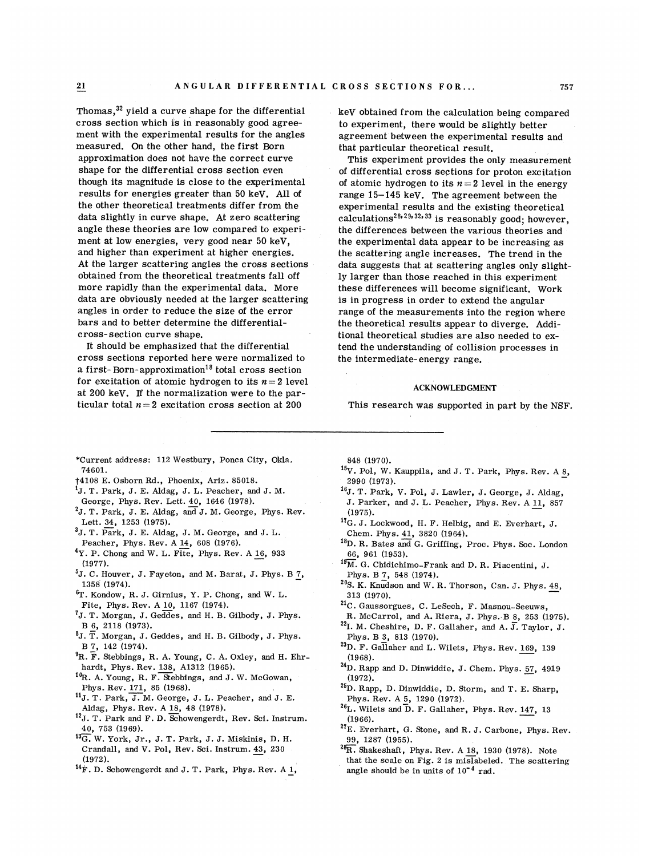Thomas,  $32$  yield a curve shape for the differential cross section which is in reasonably good agreement with the experimental results for the angles measured. On the other hand, the first Born approximation does not have the correct curve shape for the differential cross section even though its magnitude is close to the experimental results for energies greater than 50 keV. All of the other theoretical treatments differ from the data slightly in curve shape. At zero scattering angle these theories are low compared to experiment at low energies, very good near 50 keV, and higher than experiment at higher energies. At the larger scattering angles the cross sections obtained from the theoretical treatments fall off more rapidly than the experimental data. More data are obviously needed at the larger scattering angles in order to reduce the size of the error bars and to better determine the differentialcross- section curve shape.

It should be emphasized that the differential cross sections reported here were normalized to a first-Born-approximation<sup>18</sup> total cross section for excitation of atomic hydrogen to its  $n=2$  level at 200 keV. If the normalization were to the particular total  $n=2$  excitation cross section at 200

keV obtained from the calculation being compared to experiment, there would be slightly better agreement between the experimental results and that particular theoretical result.

This experiment provides the only measurement of differential cross sections for proton excitation of atomic hydrogen to its  $n = 2$  level in the energy range 15-145 keV. The agreement between the experimental results and the existing theoretical calculations<sup>28,29,32,33</sup> is reasonably good; however the differences between the various theories and the experimental data appear to be increasing as the scattering angle increases. The trend in the data suggests that at scattering angles only slightly larger than those reached in this experiment these differences will become significant. Work is in progress in order to extend the angular range of the measurements into the region where the theoretical results appear to diverge. Additional theoretical studies are also needed to extend the understanding of collision processes in the intermediate- energy range.

#### ACKNOWLEDGMENT

This research was supported in part by the NSF.

- \*Current address: 112 Westbury, Ponca City, Okla. 74601.
- \$4108 E. Osborn Rd. , Phoenix, Ariz. 85018.
- $^{1}$ J. T. Park, J. E. Aldag, J. L. Peacher, and J. M.
- George, Phys. Rev. Lett. 40, 1646 (1978).
- ${}^{2}$ J. T. Park, J. E. Aldag, and J. M. George, Phys. Rev. Lett. 34, 1253 (1975).
- ${}^{3}$ J. T. Park, J. E. Aldag, J. M. George, and J. L. Peacher, Phys. Rev. A 14, 608 (1976).
- $4Y.$  P. Chong and W. L. Fite, Phys. Rev. A 16, 933  $(1977)$ .
- $5J.$  C. Houver, J. Fayeton, and M. Barat, J. Phys. B  $7$ , 1358 (1974).
- T. Kondow, R.J. Girnius, Y. P. Chong, and W. L. Fite, Phys. Rev. A 10, 1167 (1974).
- ~J. T. Morgan, J. Geddes, and H. B. Gilbody, J. Phys. B 6, 2118 (1973).
- $^{8}$ J. T. Morgan, J. Geddes, and H. B. Gilbody, J. Phys. B 7, 142 (1974).
- ${}^{9}R.$  F. Stebbings, R. A. Young, C. A. Oxley, and H. Ehrhardt, Phys. Rev. 138, A1312 (1965).
- <sup>10</sup>R. A. Young, R. F. Stebbings, and J. W. McGowan, Phys. Rev. 171, 85 (1968).
- 11J. T. Park, J. M. George, J. L. Peacher, and J. E. Aldag, Phys. Rev. A 18, 48 (1978).
- <sup>12</sup>J. T. Park and F. D. Schowengerdt, Rev. Sci. Instrum. 40, 753 (1969).
- 13G. W. York, Jr., J. T. Park, J. J. Miskinis, D. H. Crandall, and V. Pol, Rev. Sci. Instrum. 43, 230  $(1972).$
- $^{14}$ F. D. Schowengerdt and J. T. Park, Phys. Rev. A  $\underline{1}$ ,

848 (1970).

- $^{15}V$ . Pol, W. Kauppila, and J. T. Park, Phys. Rev. A  $^{8}$ , 2990 (1973).
- <sup>16</sup>J. T. Park, V. Pol, J. Lawler, J. George, J. Aldag, J. Parker, and J. L. Peacher, Phys. Rev. A 11, 857  $(1975).$
- 17G. J. Lockwood, H. F. Helbig, and E. Everhart, J. Chem. Phys. 41, 3820 (1964).
- <sup>18</sup>D. R. Bates and G. Griffing, Proc. Phys. Soc. London 66, 961 (1953).
- $^{19}$ M. G. Chidichimo-Frank and D. R. Piacentini, J. Phys. B 7, 548 (1974).
- $20$ S. K. Knudson and W. R. Thorson, Can. J. Phys.  $48$ , 313 (1970).
- <sup>21</sup>C. Gaussorgues, C. LeSech, F. Masnou-Seeuws, R. McCarrol, and A. Riera, J. Phys. -B 8, <sup>253</sup> (1975).
- $^{22}$ I. M. Cheshire, D. F. Gallaher, and A. J. Taylor, J. Phys. B 3, 813 (1970).
- $^{23}$ D. F. Gallaher and L. Wilets, Phys. Rev. 169, 139 (1968).
- $^{24}$ D. Rapp and D. Dinwiddie, J. Chem. Phys.  $57,4919$  $(1972)$ .
- $^{25}D.$  Rapp, D. Dinwiddie, D. Storm, and T. E. Sharp, Phys. Rev. A 5, 1290 (1972).
- $^{26}$ L. Wilets and D. F. Gallaher, Phys. Rev. 147, 13 (1966).
- $^{27}E.$  Everhart, G. Stone, and R.J. Carbone, Phys. Rev. 99, 12sv (1955).
- $^{26}R$ . Shakeshaft, Phys. Rev. A 18, 1930 (1978). Note that the scale on Fig. 2 is mislabeled. The scattering angle should be in units of  $10^{-4}$  rad.